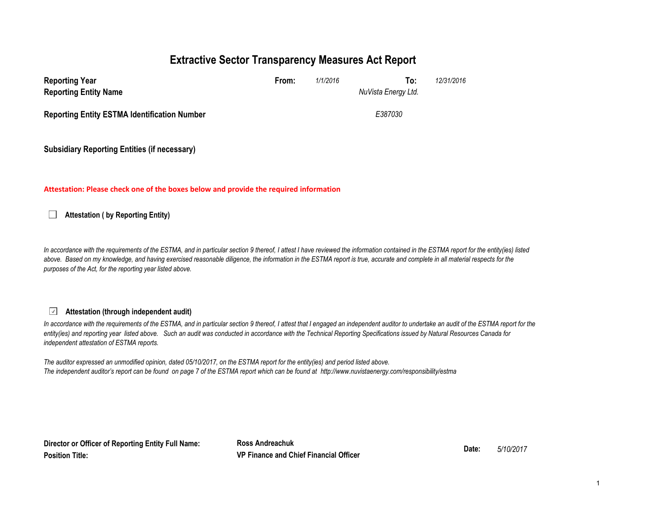## **Extractive Sector Transparency Measures Act Report**

| <b>Reporting Year</b><br><b>Reporting Entity Name</b> | From: | 1/1/2016 | To:<br>NuVista Energy Ltd. | 12/31/2016 |
|-------------------------------------------------------|-------|----------|----------------------------|------------|
| <b>Reporting Entity ESTMA Identification Number</b>   |       |          | E387030                    |            |
| <b>Subsidiary Reporting Entities (if necessary)</b>   |       |          |                            |            |

#### **Attestation: Please check one of the boxes below and provide the required information**

**Attestation ( by Reporting Entity)**  $\Box$ 

In accordance with the requirements of the ESTMA, and in particular section 9 thereof, I attest I have reviewed the information contained in the ESTMA report for the entity(ies) listed above. Based on my knowledge, and having exercised reasonable diligence, the information in the ESTMA report is true, accurate and complete in all material respects for the *purposes of the Act, for the reporting year listed above.* 

#### $\checkmark$ **Attestation (through independent audit)**

In accordance with the requirements of the ESTMA, and in particular section 9 thereof, I attest that I engaged an independent auditor to undertake an audit of the ESTMA report for the *entity(ies) and reporting year listed above. Such an audit was conducted in accordance with the Technical Reporting Specifications issued by Natural Resources Canada for independent attestation of ESTMA reports.* 

*The auditor expressed an unmodified opinion, dated 05/10/2017, on the ESTMA report for the entity(ies) and period listed above. The independent auditor's report can be found on page 7 of the ESTMA report which can be found at http://www.nuvistaenergy.com/responsibility/estma*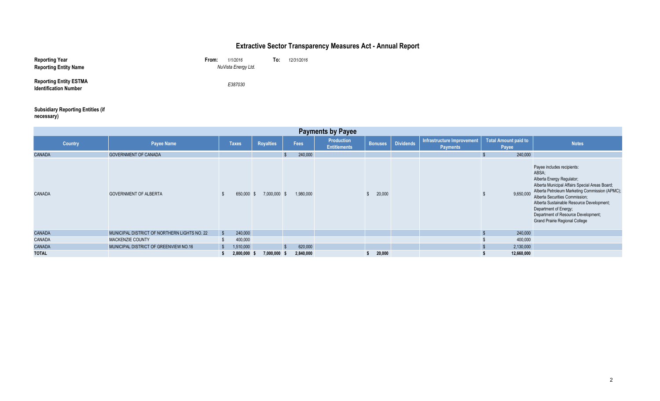## **Extractive Sector Transparency Measures Act - Annual Report**

| <b>Reporting Year</b><br><b>Reporting Entity Name</b>         | From:<br>1/1/2016<br>NuVista Energy Ltd. | To: | 12/31/2016 |
|---------------------------------------------------------------|------------------------------------------|-----|------------|
| <b>Reporting Entity ESTMA</b><br><b>Identification Number</b> | E387030                                  |     |            |

#### **Subsidiary Reporting Entities (if necessary)**

| <b>Payments by Payee</b> |                                              |                         |                  |              |           |                                   |                |                  |                                               |                                      |                                                                                                                                                                                                                                                                                                                                                             |
|--------------------------|----------------------------------------------|-------------------------|------------------|--------------|-----------|-----------------------------------|----------------|------------------|-----------------------------------------------|--------------------------------------|-------------------------------------------------------------------------------------------------------------------------------------------------------------------------------------------------------------------------------------------------------------------------------------------------------------------------------------------------------------|
| <b>Country</b>           | <b>Payee Name</b>                            | <b>Taxes</b>            | <b>Royalties</b> |              | Fees      | Production<br><b>Entitlements</b> | <b>Bonuses</b> | <b>Dividends</b> | Infrastructure Improvement<br><b>Payments</b> | <b>Total Amount paid to</b><br>Payee | <b>Notes</b>                                                                                                                                                                                                                                                                                                                                                |
| <b>CANADA</b>            | <b>GOVERNMENT OF CANADA</b>                  |                         |                  |              | 240,000   |                                   |                |                  |                                               | 240,000                              |                                                                                                                                                                                                                                                                                                                                                             |
| <b>CANADA</b>            | <b>GOVERNMENT OF ALBERTA</b>                 | 650,000                 |                  | 7,000,000 \$ | 1,980,000 |                                   | 20,000         |                  |                                               | 9,650,000                            | Payee includes recipients:<br>ABSA;<br>Alberta Energy Regulator;<br>Alberta Municipal Affairs Special Areas Board;<br>Alberta Petroleum Marketing Commission (APMC)<br>Alberta Securities Commission;<br>Alberta Sustainable Resource Development;<br>Department of Energy;<br>Department of Resource Development;<br><b>Grand Prairie Regional College</b> |
| <b>CANADA</b>            | MUNICIPAL DISTRICT OF NORTHERN LIGHTS NO. 22 | $\mathbf{s}$<br>240,000 |                  |              |           |                                   |                |                  |                                               | 240,000                              |                                                                                                                                                                                                                                                                                                                                                             |
| <b>CANADA</b>            | MACKENZIE COUNTY                             | 400,000                 |                  |              |           |                                   |                |                  |                                               | 400,000                              |                                                                                                                                                                                                                                                                                                                                                             |
| <b>CANADA</b>            | MUNICIPAL DISTRICT OF GREENVIEW NO.16        | 1,510,000<br>- S        |                  |              | 620,000   |                                   |                |                  |                                               | 2,130,000                            |                                                                                                                                                                                                                                                                                                                                                             |
| <b>TOTAL</b>             |                                              | 2,800,000 \$            | 7,000,000        | - 5          | 2,840,000 |                                   | 20,000         |                  |                                               | 12,660,000                           |                                                                                                                                                                                                                                                                                                                                                             |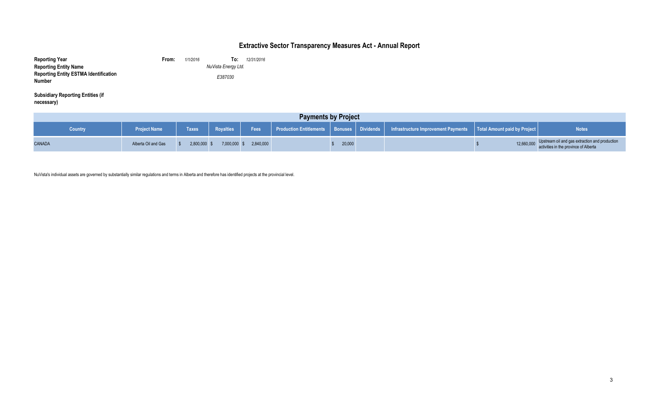## **Extractive Sector Transparency Measures Act - Annual Report**

| <b>Reporting Year</b>                                         | From:   | 1/1/2016 | 12/31/2016<br>To:   |  |
|---------------------------------------------------------------|---------|----------|---------------------|--|
| <b>Reporting Entity Name</b>                                  |         |          | NuVista Energy Ltd. |  |
| <b>Reporting Entity ESTMA Identification</b><br><b>Number</b> | E387030 |          |                     |  |
|                                                               |         |          |                     |  |

**Subsidiary Reporting Entities (if necessary)**

| <b>Payments by Project</b> |                     |                |                  |           |  |        |  |                                                                                                                    |            |                                                                                         |
|----------------------------|---------------------|----------------|------------------|-----------|--|--------|--|--------------------------------------------------------------------------------------------------------------------|------------|-----------------------------------------------------------------------------------------|
| <b>Country</b>             | <b>Project Name</b> | <b>Taxes</b>   | <b>Royalties</b> | Fees      |  |        |  | Production Entitlements   Bonuses   Dividends   Infrastructure Improvement Payments   Total Amount paid by Project |            | <b>Notes</b>                                                                            |
| <b>CANADA</b>              | Alberta Oil and Gas | $2,800,000$ \$ | 7,000,000        | 2,840,000 |  | 20,000 |  |                                                                                                                    | 12,660,000 | Upstream oil and gas extraction and production<br>activities in the province of Alberta |

NuVista's individual assets are governed by substantially similar regulations and terms in Alberta and therefore has identified projects at the provincial level.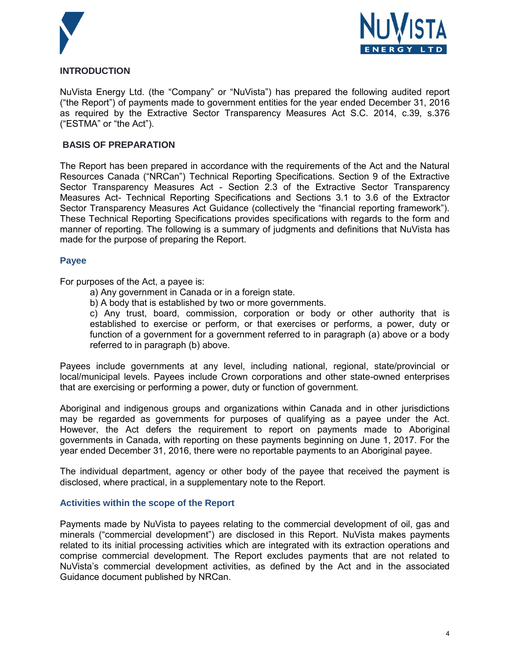



### **INTRODUCTION**

NuVista Energy Ltd. (the "Company" or "NuVista") has prepared the following audited report ("the Report") of payments made to government entities for the year ended December 31, 2016 as required by the Extractive Sector Transparency Measures Act S.C. 2014, c.39, s.376 ("ESTMA" or "the Act").

#### **BASIS OF PREPARATION**

The Report has been prepared in accordance with the requirements of the Act and the Natural Resources Canada ("NRCan") Technical Reporting Specifications. Section 9 of the Extractive Sector Transparency Measures Act - Section 2.3 of the Extractive Sector Transparency Measures Act- Technical Reporting Specifications and Sections 3.1 to 3.6 of the Extractor Sector Transparency Measures Act Guidance (collectively the "financial reporting framework"). These Technical Reporting Specifications provides specifications with regards to the form and manner of reporting. The following is a summary of judgments and definitions that NuVista has made for the purpose of preparing the Report.

#### **Payee**

For purposes of the Act, a payee is:

- a) Any government in Canada or in a foreign state.
- b) A body that is established by two or more governments.

c) Any trust, board, commission, corporation or body or other authority that is established to exercise or perform, or that exercises or performs, a power, duty or function of a government for a government referred to in paragraph (a) above or a body referred to in paragraph (b) above.

Payees include governments at any level, including national, regional, state/provincial or local/municipal levels. Payees include Crown corporations and other state-owned enterprises that are exercising or performing a power, duty or function of government.

Aboriginal and indigenous groups and organizations within Canada and in other jurisdictions may be regarded as governments for purposes of qualifying as a payee under the Act. However, the Act defers the requirement to report on payments made to Aboriginal governments in Canada, with reporting on these payments beginning on June 1, 2017. For the year ended December 31, 2016, there were no reportable payments to an Aboriginal payee.

The individual department, agency or other body of the payee that received the payment is disclosed, where practical, in a supplementary note to the Report.

#### **Activities within the scope of the Report**

Payments made by NuVista to payees relating to the commercial development of oil, gas and minerals ("commercial development") are disclosed in this Report. NuVista makes payments related to its initial processing activities which are integrated with its extraction operations and comprise commercial development. The Report excludes payments that are not related to NuVista's commercial development activities, as defined by the Act and in the associated Guidance document published by NRCan.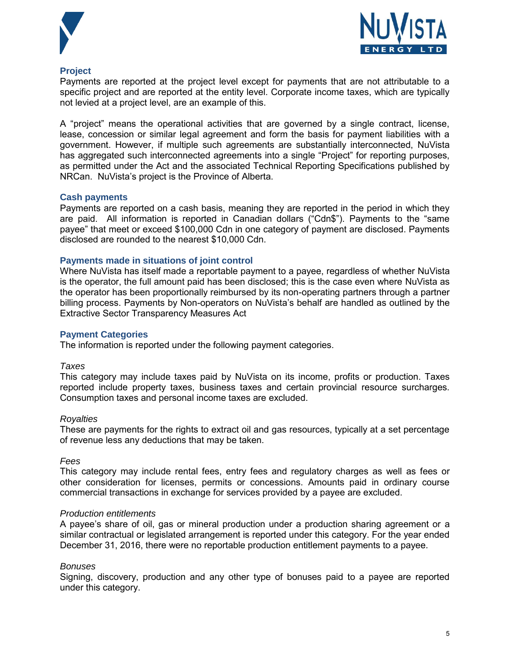



#### **Project**

Payments are reported at the project level except for payments that are not attributable to a specific project and are reported at the entity level. Corporate income taxes, which are typically not levied at a project level, are an example of this.

A "project" means the operational activities that are governed by a single contract, license, lease, concession or similar legal agreement and form the basis for payment liabilities with a government. However, if multiple such agreements are substantially interconnected, NuVista has aggregated such interconnected agreements into a single "Project" for reporting purposes, as permitted under the Act and the associated Technical Reporting Specifications published by NRCan. NuVista's project is the Province of Alberta.

#### **Cash payments**

Payments are reported on a cash basis, meaning they are reported in the period in which they are paid. All information is reported in Canadian dollars ("Cdn\$"). Payments to the "same payee" that meet or exceed \$100,000 Cdn in one category of payment are disclosed. Payments disclosed are rounded to the nearest \$10,000 Cdn.

#### **Payments made in situations of joint control**

Where NuVista has itself made a reportable payment to a payee, regardless of whether NuVista is the operator, the full amount paid has been disclosed; this is the case even where NuVista as the operator has been proportionally reimbursed by its non-operating partners through a partner billing process. Payments by Non-operators on NuVista's behalf are handled as outlined by the Extractive Sector Transparency Measures Act

#### **Payment Categories**

The information is reported under the following payment categories.

#### *Taxes*

This category may include taxes paid by NuVista on its income, profits or production. Taxes reported include property taxes, business taxes and certain provincial resource surcharges. Consumption taxes and personal income taxes are excluded.

#### *Royalties*

These are payments for the rights to extract oil and gas resources, typically at a set percentage of revenue less any deductions that may be taken.

#### *Fees*

This category may include rental fees, entry fees and regulatory charges as well as fees or other consideration for licenses, permits or concessions. Amounts paid in ordinary course commercial transactions in exchange for services provided by a payee are excluded.

#### *Production entitlements*

A payee's share of oil, gas or mineral production under a production sharing agreement or a similar contractual or legislated arrangement is reported under this category. For the year ended December 31, 2016, there were no reportable production entitlement payments to a payee.

#### *Bonuses*

Signing, discovery, production and any other type of bonuses paid to a payee are reported under this category.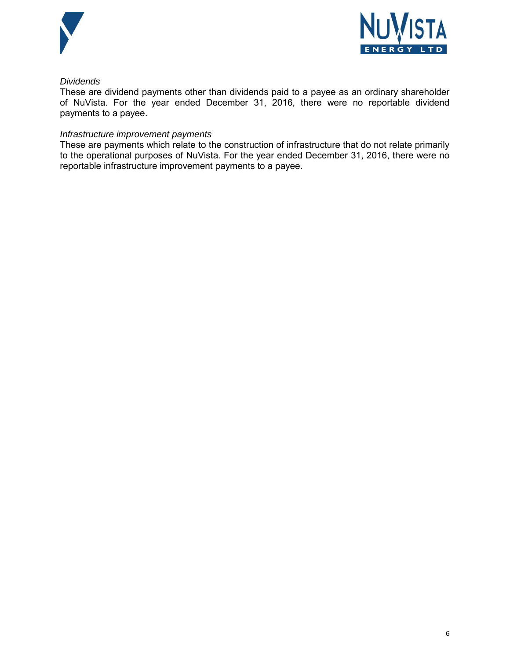



### *Dividends*

These are dividend payments other than dividends paid to a payee as an ordinary shareholder of NuVista. For the year ended December 31, 2016, there were no reportable dividend payments to a payee.

#### *Infrastructure improvement payments*

These are payments which relate to the construction of infrastructure that do not relate primarily to the operational purposes of NuVista. For the year ended December 31, 2016, there were no reportable infrastructure improvement payments to a payee.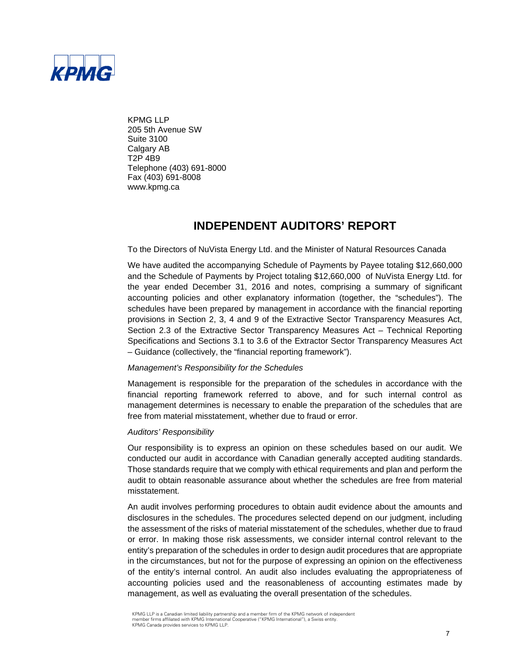

KPMG LLP 205 5th Avenue SW Suite 3100 Calgary AB T2P 4B9 Telephone (403) 691-8000 Fax (403) 691-8008 www.kpmg.ca

## **INDEPENDENT AUDITORS' REPORT**

To the Directors of NuVista Energy Ltd. and the Minister of Natural Resources Canada

We have audited the accompanying Schedule of Payments by Payee totaling \$12,660,000 and the Schedule of Payments by Project totaling \$12,660,000 of NuVista Energy Ltd. for the year ended December 31, 2016 and notes, comprising a summary of significant accounting policies and other explanatory information (together, the "schedules"). The schedules have been prepared by management in accordance with the financial reporting provisions in Section 2, 3, 4 and 9 of the Extractive Sector Transparency Measures Act, Section 2.3 of the Extractive Sector Transparency Measures Act – Technical Reporting Specifications and Sections 3.1 to 3.6 of the Extractor Sector Transparency Measures Act – Guidance (collectively, the "financial reporting framework").

#### *Management's Responsibility for the Schedules*

Management is responsible for the preparation of the schedules in accordance with the financial reporting framework referred to above, and for such internal control as management determines is necessary to enable the preparation of the schedules that are free from material misstatement, whether due to fraud or error.

#### *Auditors' Responsibility*

Our responsibility is to express an opinion on these schedules based on our audit. We conducted our audit in accordance with Canadian generally accepted auditing standards. Those standards require that we comply with ethical requirements and plan and perform the audit to obtain reasonable assurance about whether the schedules are free from material misstatement.

An audit involves performing procedures to obtain audit evidence about the amounts and disclosures in the schedules. The procedures selected depend on our judgment, including the assessment of the risks of material misstatement of the schedules, whether due to fraud or error. In making those risk assessments, we consider internal control relevant to the entity's preparation of the schedules in order to design audit procedures that are appropriate in the circumstances, but not for the purpose of expressing an opinion on the effectiveness of the entity's internal control. An audit also includes evaluating the appropriateness of accounting policies used and the reasonableness of accounting estimates made by management, as well as evaluating the overall presentation of the schedules.

KPMG LLP is a Canadian limited liability partnership and a member firm of the KPMG network of independent member firms affiliated with KPMG International Cooperative ("KPMG International"), a Swiss entity. KPMG Canada provides services to KPMG LLP.